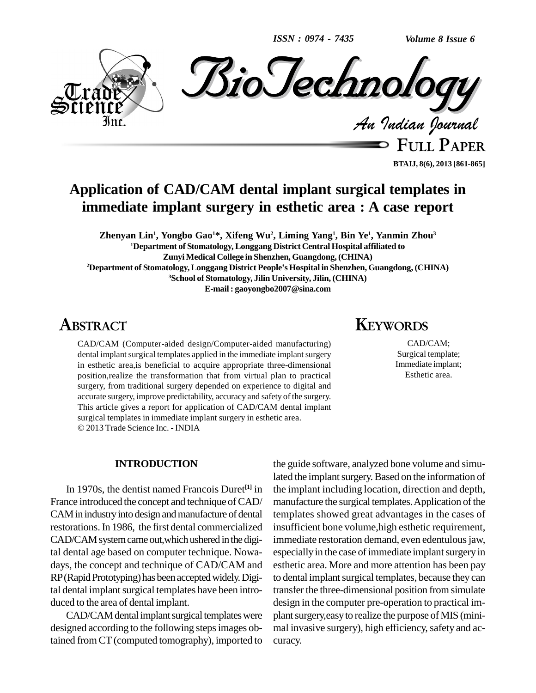*ISSN : 0974 - 7435*

*Volume 8 Issue 6*



**FULL PAPER BTAIJ, 8(6), 2013 [861-865]**

## **Application of CAD/CAM dental implant surgical templates in immediate implant surgery in esthetic area : A case report**

Zhenyan Lin<sup>1</sup>, Yongbo Gao<sup>1</sup>\*, Xifeng Wu<sup>2</sup>, Liming Yang<sup>1</sup>, Bin Ye<sup>1</sup>, Yanmin Zhou<sup>3</sup> **<sup>1</sup>Department of Stomatology, Longgang District Central Hospital affiliated to Zunyi Medical College in Shenzhen, Guangdong,(CHINA) <sup>2</sup>Department of Stomatology,Longgang District PeopleísHospital in Shenzhen, Guangdong, (CHINA) <sup>3</sup>School of Stomatology, Jilin University, Jilin, (CHINA) E-mail: [gaoyongbo2007@sina.com](mailto:gaoyongbo2007@sina.com)**

## **ABSTRACT**

CAD/CAM (Computer-aided design/Computer-aided manufacturing) dental implant surgical templates applied in the immediate implant surgery in esthetic area,is beneficial to acquire appropriate three-dimensional position,realize the transformation that from virtual plan to practical surgery, from traditional surgery depended on experience to digital and accurate surgery, improve predictability, accuracy and safety of the surgery. This article gives a report for application of CAD/CAM dental implant surgical templates in immediate implant surgery in esthetic area. 2013 Trade Science Inc. - INDIA

#### **INTRODUCTION**

In 1970s, the dentist named Francois Duret<sup>[1]</sup> in France introduced the concept and technique of CAD/ CAM in industry into design and manufacture of dental restorations.In 1986, the first dental commercialized CAD/CAM system came out, which ushered in the digital dental age based on computer technique. Nowa days, the concept and technique of CAD/CAM and RP(RapidPrototyping)hasbeenacceptedwidely.Digital dental implant surgical templates have been introduced to the area of dental implant.

CAD/CAM dental implant surgical templates were designed according to the following stepsimages obtained from CT(computed tomography), imported to

# **KEYWORDS**

CAD/CAM; Surgical template; Immediate implant; Esthetic area.

**[1]** in the implant including location, direction and depth, the guide software, analyzed bone volume and simulated the implant surgery. Based on the information of manufacture the surgical templates. Application of the templates showed great advantages in the cases of insufficient bone volume,high esthetic requirement, immediate restoration demand, even edentulous jaw, especially in the case of immediate implant surgery in esthetic area. More and more attention has been pay to dental implant surgical templates, because they can transferthe three-dimensional position from simulate design in the computer pre-operation to practical im plant surgery, easy to realize the purpose of MIS (minimal invasive surgery), high efficiency, safety and accuracy.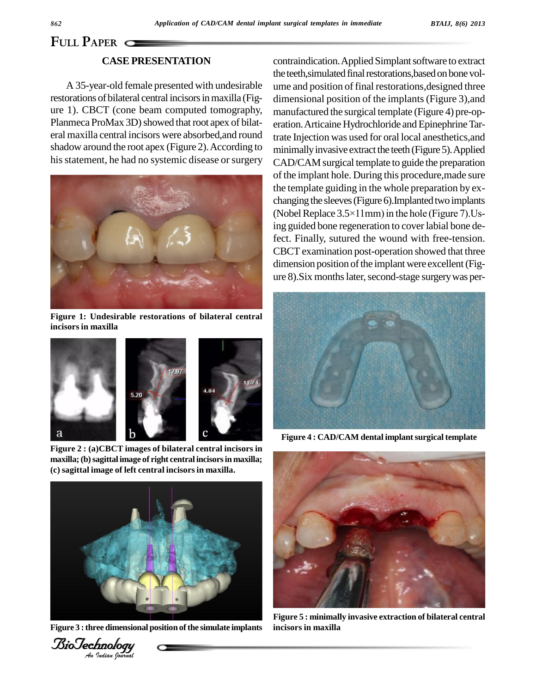# **FULL PAPER**

### **CASEPRESENTATION**

A 35-year-old female presented with undesirable restorations of bilateral central incisors in maxilla (Figure 1).CBCT (cone beam computed tomography, Planmeca ProMax 3D) showed that root apex of bilateral maxilla central incisors were absorbed,and round shadow around the root apex (Figure 2). According to his statement, he had no systemic disease or surgery



**Figure 1: Undesirable restorations of bilateral central incisors in maxilla**



**Figure 2 : (a)CBCT images of bilateral central incisors in maxilla;(b)sagittal image of right central incisorsin maxilla; (c) sagittal image of left central incisorsin maxilla.**



**Figure** 3 : three dimensional position of the simulate implants inci-



contraindication. Applied Simplant software to extract the teeth, simulated final restorations, based on bone volume and position of final restorations,designed three dimensional position of the implants(Figure 3),and manufactured the surgical template (Figure 4) pre-op eration. Articaine Hydrochloride and Epinephrine Tartrate Injection was used for oral local anesthetics,and minimally invasive extract the teeth (Figure 5). Applied CAD/CAM surgical template to guide the preparation of the implant hole. During this procedure,made sure the template guiding in the whole preparation by ex changing the sleeves (Figure 6). Implanted two implants the template guiding in the whole preparation by exchanging the sleeves (Figure 6).Implanted two implants<br>(Nobel Replace 3.5×11mm) in the hole (Figure 7).Using guided bone regeneration to cover labial bone defect. Finally, sutured the wound with free-tension. CBCT examination post-operation showed that three dimension position of the implant were excellent (Figure 8). Six months later, second-stage surgery was per-



**Figure 4 : CAD/CAM dental implantsurgical template**



**Figure 5 : minimally invasive extraction of bilateral central incisors in maxilla**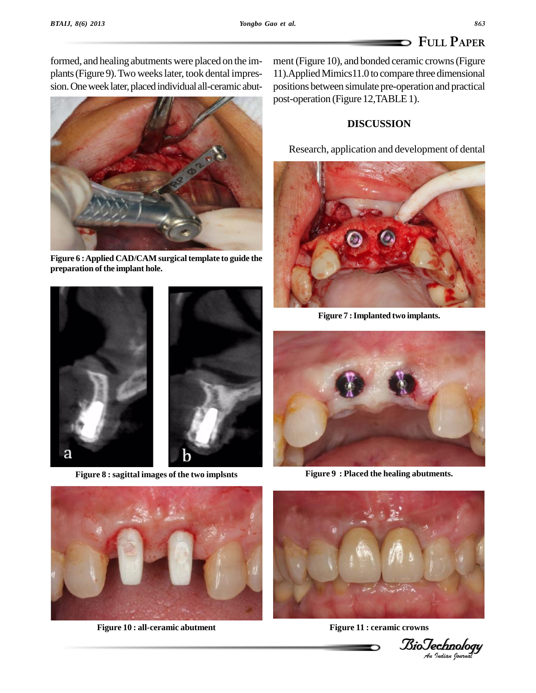plants (Figure 9). Two weeks later, took dental impres-



**Figure 6 :Applied CAD/CAM surgical template to guide the preparation ofthe implant hole.**



**Figure 8 : sagittal images of the two implsnts Figure 9 : Placed the healing abutments.**

formed, and healing abutments were placed on the im- ment (Figure 10), and bonded ceramic crowns (Figure formed, and healing abutments were placed on the im-conent (Figure 10), and bonded ceramic crowns (Figure plants (Figure 9). Two weeks later, took dental impres-conent 11). Applied Mimics 11.0 to compare three dimensional 11).AppliedMimics11.0 to compare three dimensional positions between simulate pre-operation and practical post-operation (Figure 12, TABLE 1).

### **DISCUSSION**

Research, application and development of dental



**Figure 7 :Implanted two implants.**





**Figure 10 : all-ceramic abutment Figure 11 : ceramic crowns**



*Indian Journal*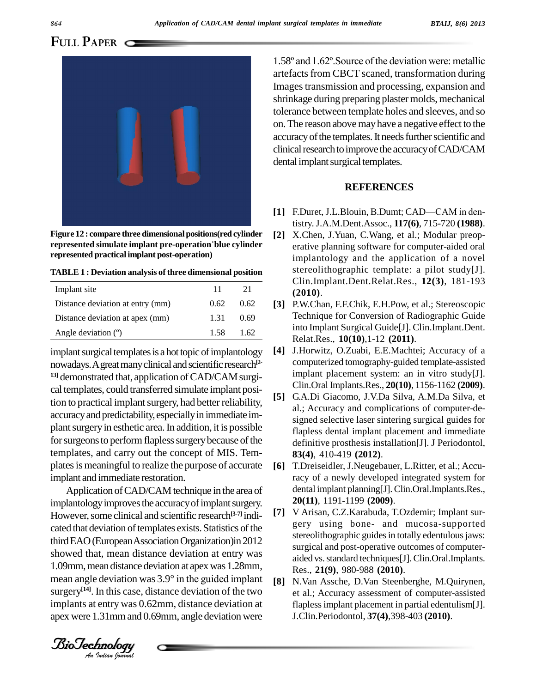## **FULL PAPER**



**Figure 12 : compare three dimensionalpositions(red cylinder rigure 12 : compare three dimensional positions(red cylinder [2]<br>
<b>Figure 12 : compare three dimensional positions(red cylinder [2] represented practical implant post-operation)**

**TABLE 1 : Deviation analysis of three dimensional position**

| Implant site                     | 11   | 21   |     |
|----------------------------------|------|------|-----|
| Distance deviation at entry (mm) | 0.62 | 0.62 | 131 |
| Distance deviation at apex (mm)  | 1 31 | 0.69 |     |
| Angle deviation $(°)$            | 1.58 | 1.62 |     |

implant surgical templates is a hot topic of implantology  $[4]$ nowadays. A great many clinical and scientific research<sup>[2-1</sup>] <sup>13]</sup> demonstrated that, application of CAD/CAM surgical templates, could transferred simulate implant position to practical implant surgery, had better reliability, [5] accuracy and predictability, especially in immediate implant surgery in esthetic area. In addition, it is possible for surgeons to perform flapless surgery because of the templates, and carry out the concept of MIS. Tem plates is meaningful to realize the purpose of accurate implant and immediate restoration.

third EAO (European Association Organization)in 2012<br>showed that, mean distance deviation at entry was showed that, mean distance deviation at entry was 1.09mm, mean distance deviation at apex was 1.28mm, mean angle deviation was 3.9° in the guided implant [8] Application of CAD/CAM technique in the area of implantology improves the accuracy of implant surgery. However, some clinical and scientific research<sup>[3-7]</sup> indicated that deviation of templates exists. Statistics of the third EAO (European Association Organization) in 2012 1.09mm, mean distance deviation at apex was 1.28mm, surgery<sup>[14]</sup>. In this case, distance deviation of the two et implants at entry was 0.62mm, distance deviation at apex were 1.31mmand 0.69mm, angle deviation were

1.58<sup>º</sup> and 1.62º.Source ofthe deviation were: metallic artefacts from CBCT scaned, transformation during Imagestransmission and processing, expansion and shrinkage during preparing plaster molds, mechanical tolerance between template holes and sleeves, and so on.The reason abovemayhave a negative effect to the accuracy of the templates. It needs further scientific and clinical research to improve the accuracy of CAD/CAM dental implant surgical templates.

#### **REFERENCES**

- [1] F.Duret, J.L.Blouin, B.Dumt; CAD—CAM in dentistry.J.A.M.Dent.Assoc., **117(6)**, 715-720 **(1988)**.
- **[2]** X.Chen, J.Yuan, C.Wang, et al.; Modular preop erative planning software for computer-aided oral implantology and the application of a novel stereolithographic template: a pilot study[J]. Clin.Implant.Dent.Relat.Res., **12(3)**, 181-193 **(2010)**.
- **[3]** P.W.Chan, F.F.Chik, E.H.Pow, et al.; Stereoscopic Technique for Conversion of Radiographic Guide into Implant Surgical Guide[J]. Clin.Implant.Dent. Relat.Res., **10(10)**,1-12 **(2011)**.
- **[4]** J.Horwitz, O.Zuabi, E.E.Machtei; Accuracy of a computerized tomography-guided template-assisted implant placement system: an in vitro study[J]. Clin.Oral Implants.Res., **20(10)**, 1156-1162 **(2009)**.
- **[5]** G.A.Di Giacomo, J.V.Da Silva, A.M.Da Silva, et al.; Accuracy and complications of computer-de signed selective laser sintering surgical guides for flapless dental implant placement and immediate definitive prosthesis installation[J]. J Periodontol, **83(4)**, 410-419 **(2012)**.
- **[6]** T.Dreiseidler, J.Neugebauer, L.Ritter, et al.; Accuracy of a newly developed integrated system for dental implant planning[J].Clin.Oral.Implants.Res., **20(11)**, 1191-1199 **(2009)**.
- **[7]** V Arisan, C.Z.Karabuda, T.Ozdemir; Implant sur gery using bone- and mucosa-supported stereolithographic guides in totally edentulous jaws: surgical and post-operative outcomes of computer aided vs. standard techniques[J]. Clin.Oral.Implants. Res., **21(9)**, 980-988 **(2010)**.
- **[8]** N.Van Assche, D.Van Steenberghe, M.Quirynen, et al.; Accuracy assessment of computer-assisted flaplessimplant placement in partial edentulism[J]. J.Clin.Periodontol, **37(4)**,398-403 **(2010)**.

*Indian Journal*